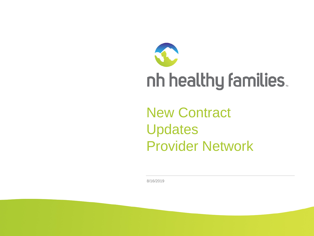

New Contract Updates Provider Network

8/16/2019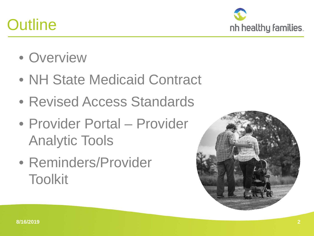## **Outline**



- Overview
- NH State Medicaid Contract
- Revised Access Standards
- Provider Portal Provider Analytic Tools
- Reminders/Provider Toolkit

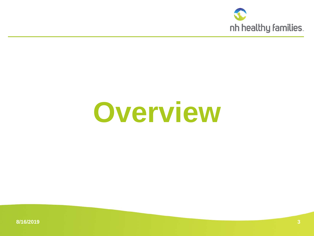

# **Overview**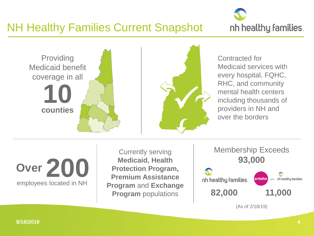

### NH Healthy Families Current Snapshot



Contracted for Medicaid services with every hospital, FQHC, RHC, and community mental health centers including thousands of providers in NH and over the borders

**200** employees located in NH **Over**

Currently serving **Medicaid, Health Protection Program, Premium Assistance Program** and **Exchange** 



(As of 2/18/19)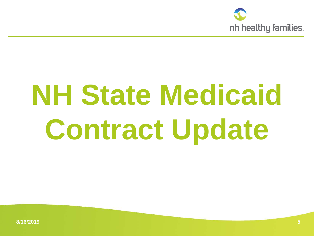

# **NH State Medicaid Contract Update**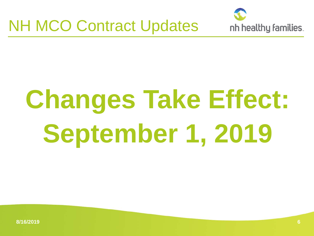



# **Changes Take Effect: September 1, 2019**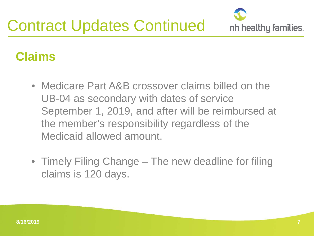

## **Claims**

- Medicare Part A&B crossover claims billed on the UB-04 as secondary with dates of service September 1, 2019, and after will be reimbursed at the member's responsibility regardless of the Medicaid allowed amount.
- Timely Filing Change The new deadline for filing claims is 120 days.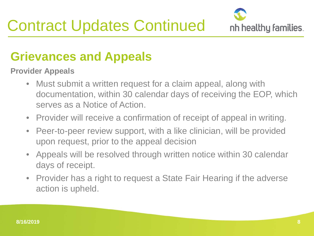

## **Grievances and Appeals**

**Provider Appeals**

- Must submit a written request for a claim appeal, along with documentation, within 30 calendar days of receiving the EOP, which serves as a Notice of Action.
- Provider will receive a confirmation of receipt of appeal in writing.
- Peer-to-peer review support, with a like clinician, will be provided upon request, prior to the appeal decision
- Appeals will be resolved through written notice within 30 calendar days of receipt.
- Provider has a right to request a State Fair Hearing if the adverse action is upheld.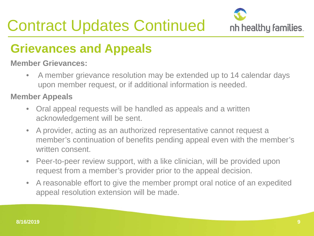# Contract Updates Continued



## **Grievances and Appeals**

#### **Member Grievances:**

• A member grievance resolution may be extended up to 14 calendar days upon member request, or if additional information is needed.

#### **Member Appeals**

- Oral appeal requests will be handled as appeals and a written acknowledgement will be sent.
- A provider, acting as an authorized representative cannot request a member's continuation of benefits pending appeal even with the member's written consent.
- Peer-to-peer review support, with a like clinician, will be provided upon request from a member's provider prior to the appeal decision.
- A reasonable effort to give the member prompt oral notice of an expedited appeal resolution extension will be made.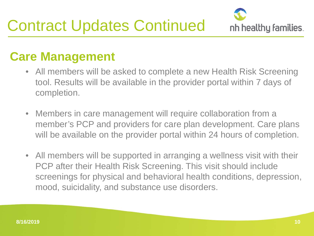

### **Care Management**

- All members will be asked to complete a new Health Risk Screening tool. Results will be available in the provider portal within 7 days of completion.
- Members in care management will require collaboration from a member's PCP and providers for care plan development. Care plans will be available on the provider portal within 24 hours of completion.
- All members will be supported in arranging a wellness visit with their PCP after their Health Risk Screening. This visit should include screenings for physical and behavioral health conditions, depression, mood, suicidality, and substance use disorders.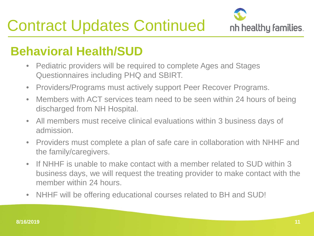

## **Behavioral Health/SUD**

- Pediatric providers will be required to complete Ages and Stages Questionnaires including PHQ and SBIRT.
- Providers/Programs must actively support Peer Recover Programs.
- Members with ACT services team need to be seen within 24 hours of being discharged from NH Hospital.
- All members must receive clinical evaluations within 3 business days of admission.
- Providers must complete a plan of safe care in collaboration with NHHF and the family/caregivers.
- If NHHF is unable to make contact with a member related to SUD within 3 business days, we will request the treating provider to make contact with the member within 24 hours.
- NHHF will be offering educational courses related to BH and SUD!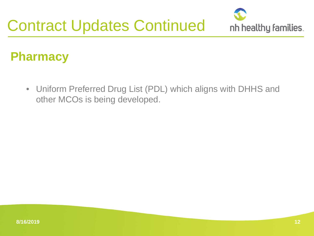

## **Pharmacy**

• Uniform Preferred Drug List (PDL) which aligns with DHHS and other MCOs is being developed.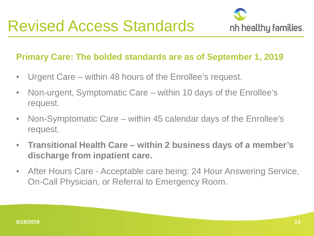

#### **Primary Care: The bolded standards are as of September 1, 2019**

- Urgent Care within 48 hours of the Enrollee's request.
- Non-urgent, Symptomatic Care within 10 days of the Enrollee's request.
- Non-Symptomatic Care within 45 calendar days of the Enrollee's request.
- **Transitional Health Care – within 2 business days of a member's discharge from inpatient care.**
- After Hours Care Acceptable care being: 24 Hour Answering Service, On-Call Physician, or Referral to Emergency Room.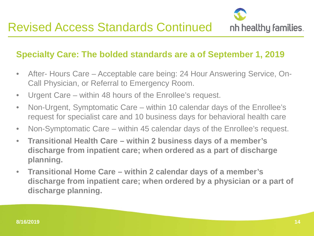

#### **Specialty Care: The bolded standards are a of September 1, 2019**

- After- Hours Care Acceptable care being: 24 Hour Answering Service, On-Call Physician, or Referral to Emergency Room.
- Urgent Care within 48 hours of the Enrollee's request.
- Non-Urgent, Symptomatic Care within 10 calendar days of the Enrollee's request for specialist care and 10 business days for behavioral health care
- Non-Symptomatic Care within 45 calendar days of the Enrollee's request.
- **Transitional Health Care – within 2 business days of a member's discharge from inpatient care; when ordered as a part of discharge planning.**
- **Transitional Home Care – within 2 calendar days of a member's discharge from inpatient care; when ordered by a physician or a part of discharge planning.**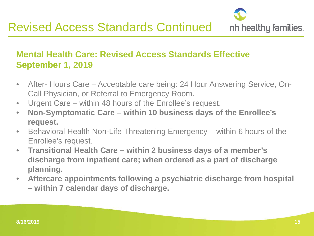

#### **Mental Health Care: Revised Access Standards Effective September 1, 2019**

- After- Hours Care Acceptable care being: 24 Hour Answering Service, On-Call Physician, or Referral to Emergency Room.
- Urgent Care within 48 hours of the Enrollee's request.
- **Non-Symptomatic Care – within 10 business days of the Enrollee's request.**
- Behavioral Health Non-Life Threatening Emergency within 6 hours of the Enrollee's request.
- **Transitional Health Care – within 2 business days of a member's discharge from inpatient care; when ordered as a part of discharge planning.**
- **Aftercare appointments following a psychiatric discharge from hospital – within 7 calendar days of discharge.**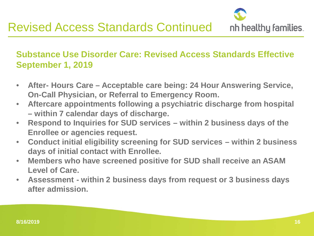

#### **Substance Use Disorder Care: Revised Access Standards Effective September 1, 2019**

- **After- Hours Care – Acceptable care being: 24 Hour Answering Service, On-Call Physician, or Referral to Emergency Room.**
- **Aftercare appointments following a psychiatric discharge from hospital – within 7 calendar days of discharge.**
- **Respond to Inquiries for SUD services – within 2 business days of the Enrollee or agencies request.**
- **Conduct initial eligibility screening for SUD services – within 2 business days of initial contact with Enrollee.**
- **Members who have screened positive for SUD shall receive an ASAM Level of Care.**
- **Assessment - within 2 business days from request or 3 business days after admission.**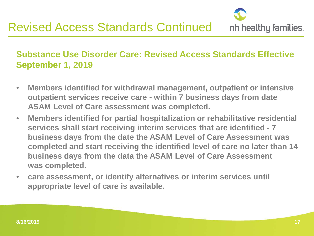

#### **Substance Use Disorder Care: Revised Access Standards Effective September 1, 2019**

- **Members identified for withdrawal management, outpatient or intensive outpatient services receive care - within 7 business days from date ASAM Level of Care assessment was completed.**
- **Members identified for partial hospitalization or rehabilitative residential services shall start receiving interim services that are identified - 7 business days from the date the ASAM Level of Care Assessment was completed and start receiving the identified level of care no later than 14 business days from the data the ASAM Level of Care Assessment was completed.**
- **care assessment, or identify alternatives or interim services until appropriate level of care is available.**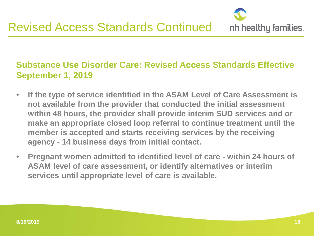

#### **Substance Use Disorder Care: Revised Access Standards Effective September 1, 2019**

- **If the type of service identified in the ASAM Level of Care Assessment is not available from the provider that conducted the initial assessment within 48 hours, the provider shall provide interim SUD services and or make an appropriate closed loop referral to continue treatment until the member is accepted and starts receiving services by the receiving agency - 14 business days from initial contact.**
- **Pregnant women admitted to identified level of care - within 24 hours of ASAM level of care assessment, or identify alternatives or interim services until appropriate level of care is available.**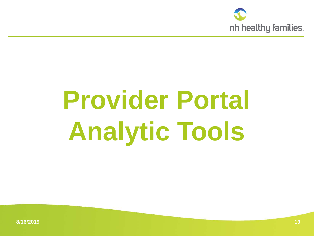

# **Provider Portal Analytic Tools**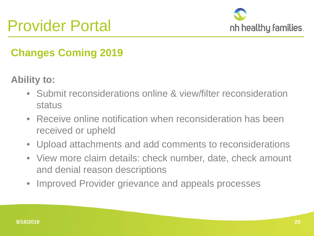

### **Changes Coming 2019**

**Ability to:**

- Submit reconsiderations online & view/filter reconsideration status
- Receive online notification when reconsideration has been received or upheld
- Upload attachments and add comments to reconsiderations
- View more claim details: check number, date, check amount and denial reason descriptions
- Improved Provider grievance and appeals processes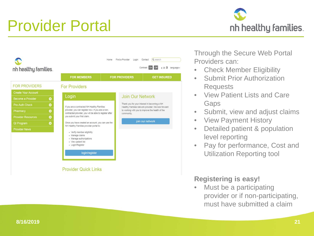# Provider Portal





Through the Secure Web Portal Providers can:

- **Check Member Eligibility**
- Submit Prior Authorization Requests
- View Patient Lists and Care Gaps
- Submit, view and adjust claims
- View Payment History
- Detailed patient & population level reporting
- Pay for performance, Cost and Utilization Reporting tool

#### **Registering is easy!**

• Must be a participating provider or if non-participating, must have submitted a claim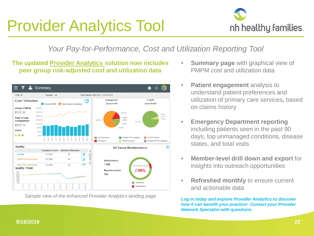# Provider Analytics Tool



#### *Your Pay-for-Performance, Cost and Utilization Reporting Tool*

#### **The updated Provider Analytics solution now includes peer group risk-adjusted cost and utilization data**



*Sample view of the enhanced Provider Analytics landing page Log in today and explore Provider Analytics to discover* 

- **Summary page** with graphical view of PMPM cost and utilization data
- **Patient engagement** analysis to understand patient preferences and utilization of primary care services**,** based on claims history
- **Emergency Department reporting**  including patients seen in the past 90 days, top unmanaged conditions, disease states, and total visits
- **Member-level drill down and export** for insights into outreach opportunities
- **Refreshed monthly** to ensure current and actionable data

*how it can benefit your practice! Contact your Provider Network Specialist with questions.*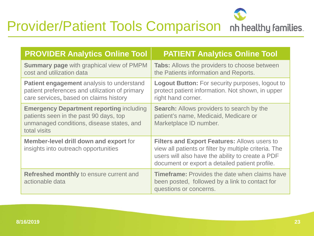### J Provider/Patient Tools Comparison nh healthy families.

| <b>PROVIDER Analytics Online Tool</b>                                                                                                                  | <b>PATIENT Analytics Online Tool</b>                                                                                                                                                                               |
|--------------------------------------------------------------------------------------------------------------------------------------------------------|--------------------------------------------------------------------------------------------------------------------------------------------------------------------------------------------------------------------|
| <b>Summary page with graphical view of PMPM</b><br>cost and utilization data                                                                           | <b>Tabs:</b> Allows the providers to choose between<br>the Patients information and Reports.                                                                                                                       |
| <b>Patient engagement</b> analysis to understand<br>patient preferences and utilization of primary<br>care services, based on claims history           | <b>Logout Button:</b> For security purposes, logout to<br>protect patient information. Not shown, in upper<br>right hand corner.                                                                                   |
| <b>Emergency Department reporting including</b><br>patients seen in the past 90 days, top<br>unmanaged conditions, disease states, and<br>total visits | <b>Search:</b> Allows providers to search by the<br>patient's name, Medicaid, Medicare or<br>Marketplace ID number.                                                                                                |
| <b>Member-level drill down and export for</b><br>insights into outreach opportunities                                                                  | <b>Filters and Export Features: Allows users to</b><br>view all patients or filter by multiple criteria. The<br>users will also have the ability to create a PDF<br>document or export a detailed patient profile. |
| Refreshed monthly to ensure current and<br>actionable data                                                                                             | <b>Timeframe:</b> Provides the date when claims have<br>been posted, followed by a link to contact for<br>questions or concerns.                                                                                   |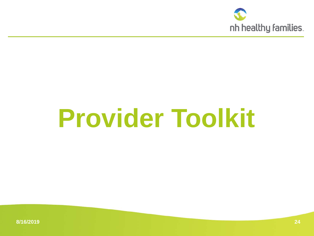

# **Provider Toolkit**